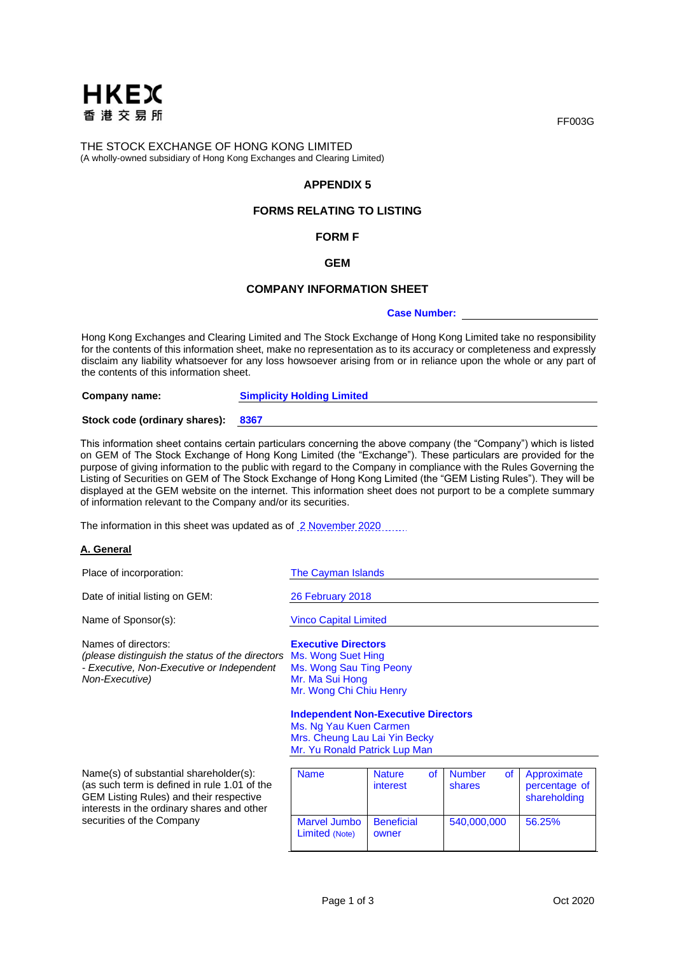

THE STOCK EXCHANGE OF HONG KONG LIMITED (A wholly-owned subsidiary of Hong Kong Exchanges and Clearing Limited)

# **APPENDIX 5**

# **FORMS RELATING TO LISTING**

## **FORM F**

## **GEM**

## **COMPANY INFORMATION SHEET**

#### **Case Number:**

Hong Kong Exchanges and Clearing Limited and The Stock Exchange of Hong Kong Limited take no responsibility for the contents of this information sheet, make no representation as to its accuracy or completeness and expressly disclaim any liability whatsoever for any loss howsoever arising from or in reliance upon the whole or any part of the contents of this information sheet.

**Company name: Simplicity Holding Limited Stock code (ordinary shares): 8367**

This information sheet contains certain particulars concerning the above company (the "Company") which is listed on GEM of The Stock Exchange of Hong Kong Limited (the "Exchange"). These particulars are provided for the purpose of giving information to the public with regard to the Company in compliance with the Rules Governing the Listing of Securities on GEM of The Stock Exchange of Hong Kong Limited (the "GEM Listing Rules"). They will be displayed at the GEM website on the internet. This information sheet does not purport to be a complete summary of information relevant to the Company and/or its securities.

The information in this sheet was updated as of 2 November 2020

#### **A. General**

| Place of incorporation:                                                                                                                                                                                      | The Cayman Islands                                                                                                                                                                                |                            |           |                         |           |                                              |
|--------------------------------------------------------------------------------------------------------------------------------------------------------------------------------------------------------------|---------------------------------------------------------------------------------------------------------------------------------------------------------------------------------------------------|----------------------------|-----------|-------------------------|-----------|----------------------------------------------|
| Date of initial listing on GEM:                                                                                                                                                                              | 26 February 2018                                                                                                                                                                                  |                            |           |                         |           |                                              |
| Name of Sponsor(s):                                                                                                                                                                                          | <b>Vinco Capital Limited</b>                                                                                                                                                                      |                            |           |                         |           |                                              |
| Names of directors:<br>(please distinguish the status of the directors<br>- Executive, Non-Executive or Independent<br>Non-Executive)                                                                        | <b>Executive Directors</b><br>Ms. Wong Suet Hing<br>Ms. Wong Sau Ting Peony<br>Mr. Ma Sui Hong<br>Mr. Wong Chi Chiu Henry<br><b>Independent Non-Executive Directors</b><br>Ms. Ng Yau Kuen Carmen |                            |           |                         |           |                                              |
|                                                                                                                                                                                                              | Mrs. Cheung Lau Lai Yin Becky<br>Mr. Yu Ronald Patrick Lup Man                                                                                                                                    |                            |           |                         |           |                                              |
| Name(s) of substantial shareholder(s):<br>(as such term is defined in rule 1.01 of the<br>GEM Listing Rules) and their respective<br>interests in the ordinary shares and other<br>securities of the Company | <b>Name</b>                                                                                                                                                                                       | <b>Nature</b><br>interest  | <b>of</b> | <b>Number</b><br>shares | <b>of</b> | Approximate<br>percentage of<br>shareholding |
|                                                                                                                                                                                                              | Marvel Jumbo<br>Limited (Note)                                                                                                                                                                    | <b>Beneficial</b><br>owner |           | 540,000,000             |           | 56.25%                                       |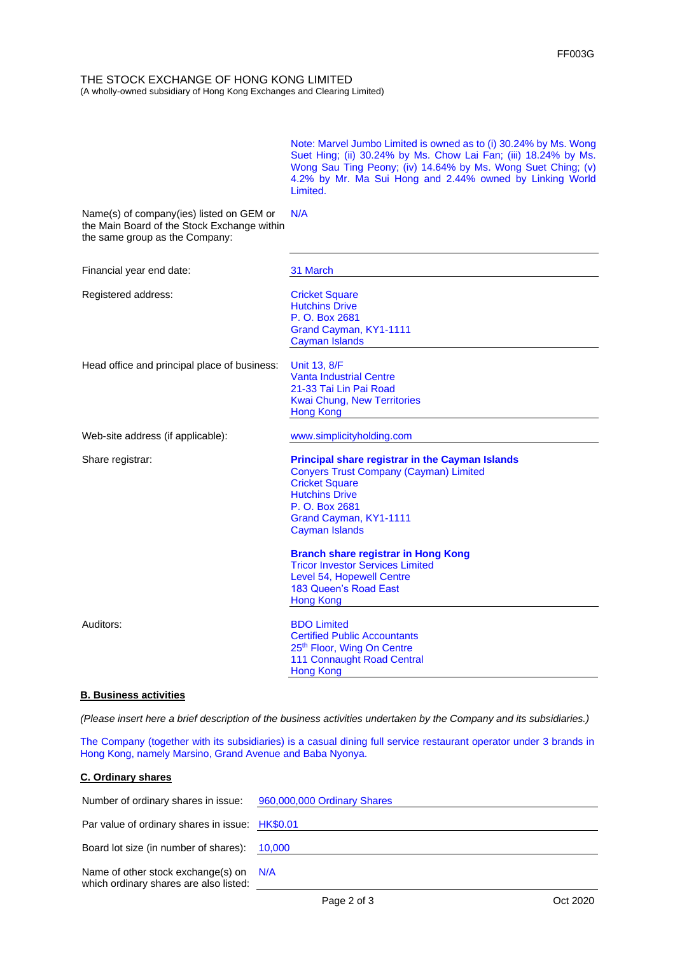THE STOCK EXCHANGE OF HONG KONG LIMITED (A wholly-owned subsidiary of Hong Kong Exchanges and Clearing Limited)

> Note: Marvel Jumbo Limited is owned as to (i) 30.24% by Ms. Wong Suet Hing; (ii) 30.24% by Ms. Chow Lai Fan; (iii) 18.24% by Ms. Wong Sau Ting Peony; (iv) 14.64% by Ms. Wong Suet Ching; (v) 4.2% by Mr. Ma Sui Hong and 2.44% owned by Linking World Limited.

| Name(s) of company(ies) listed on GEM or<br>the Main Board of the Stock Exchange within<br>the same group as the Company: | N/A                                                                                                                                                                                                                            |
|---------------------------------------------------------------------------------------------------------------------------|--------------------------------------------------------------------------------------------------------------------------------------------------------------------------------------------------------------------------------|
| Financial year end date:                                                                                                  | 31 March                                                                                                                                                                                                                       |
| Registered address:                                                                                                       | <b>Cricket Square</b><br><b>Hutchins Drive</b><br>P. O. Box 2681<br>Grand Cayman, KY1-1111<br><b>Cayman Islands</b>                                                                                                            |
| Head office and principal place of business:                                                                              | Unit 13, 8/F<br><b>Vanta Industrial Centre</b><br>21-33 Tai Lin Pai Road<br><b>Kwai Chung, New Territories</b><br><b>Hong Kong</b>                                                                                             |
| Web-site address (if applicable):                                                                                         | www.simplicityholding.com                                                                                                                                                                                                      |
| Share registrar:                                                                                                          | <b>Principal share registrar in the Cayman Islands</b><br><b>Conyers Trust Company (Cayman) Limited</b><br><b>Cricket Square</b><br><b>Hutchins Drive</b><br>P. O. Box 2681<br>Grand Cayman, KY1-1111<br><b>Cayman Islands</b> |
|                                                                                                                           | <b>Branch share registrar in Hong Kong</b><br><b>Tricor Investor Services Limited</b><br>Level 54, Hopewell Centre<br>183 Queen's Road East<br><b>Hong Kong</b>                                                                |
| Auditors:                                                                                                                 | <b>BDO Limited</b><br><b>Certified Public Accountants</b><br>25 <sup>th</sup> Floor, Wing On Centre<br>111 Connaught Road Central<br><b>Hong Kong</b>                                                                          |

# **B. Business activities**

*(Please insert here a brief description of the business activities undertaken by the Company and its subsidiaries.)*

The Company (together with its subsidiaries) is a casual dining full service restaurant operator under 3 brands in Hong Kong, namely Marsino, Grand Avenue and Baba Nyonya.

# **C. Ordinary shares**

| Number of ordinary shares in issue: 960,000,000 Ordinary Shares                    |  |
|------------------------------------------------------------------------------------|--|
| Par value of ordinary shares in issue: HK\$0.01                                    |  |
| Board lot size (in number of shares): 10,000                                       |  |
| Name of other stock exchange(s) on $N/A$<br>which ordinary shares are also listed: |  |